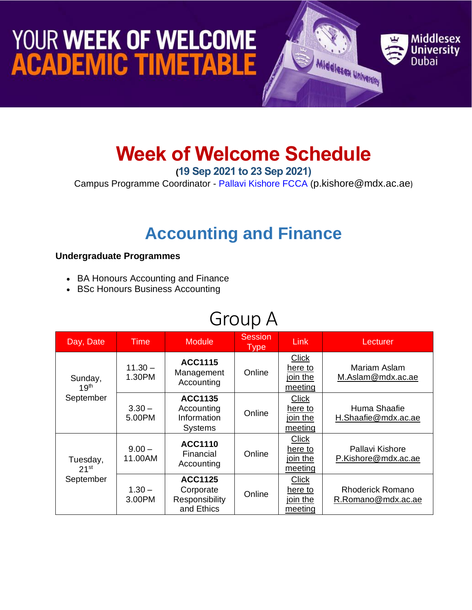## YOUR WEEK OF WELCOME **ACADEMIC TIMETABLE**



#### **Week of Welcome Schedule**

**(19 Sep 2021 to 23 Sep 2021)**

Campus Programme Coordinator - [Pallavi Kishore FCCA](https://www.mdx.ac.ae/about-us/our-people/staff-detail/pallavi-kishore) ([p.kishore@mdx.ac.ae](mailto:p.kishore@mdx.ac.ae))

#### **Accounting and Finance**

#### **Undergraduate Programmes**

- BA Honours Accounting and Finance
- BSc Honours Business Accounting

#### Group A

| Day, Date                                 | <b>Time</b>         | <b>Module</b>                                                 | <b>Session</b><br><b>Type</b> | <b>Link</b>                                    | Lecturer                                      |
|-------------------------------------------|---------------------|---------------------------------------------------------------|-------------------------------|------------------------------------------------|-----------------------------------------------|
| Sunday,<br>19 <sup>th</sup><br>September  | $11.30 -$<br>1.30PM | <b>ACC1115</b><br>Management<br>Accounting                    | Online                        | <b>Click</b><br>here to<br>join the<br>meeting | Mariam Aslam<br>M.Aslam@mdx.ac.ae             |
|                                           | $3.30 -$<br>5.00PM  | <b>ACC1135</b><br>Accounting<br>Information<br><b>Systems</b> | Online                        | Click<br>here to<br>join the<br>meeting        | Huma Shaafie<br>H.Shaafie@mdx.ac.ae           |
| Tuesday,<br>21 <sup>st</sup><br>September | $9.00 -$<br>11.00AM | <b>ACC1110</b><br>Financial<br>Accounting                     | Online                        | <b>Click</b><br>here to<br>join the<br>meeting | Pallavi Kishore<br>P.Kishore@mdx.ac.ae        |
|                                           | $1.30 -$<br>3.00PM  | <b>ACC1125</b><br>Corporate<br>Responsibility<br>and Ethics   | Online                        | <b>Click</b><br>here to<br>join the<br>meeting | <b>Rhoderick Romano</b><br>R.Romano@mdx.ac.ae |